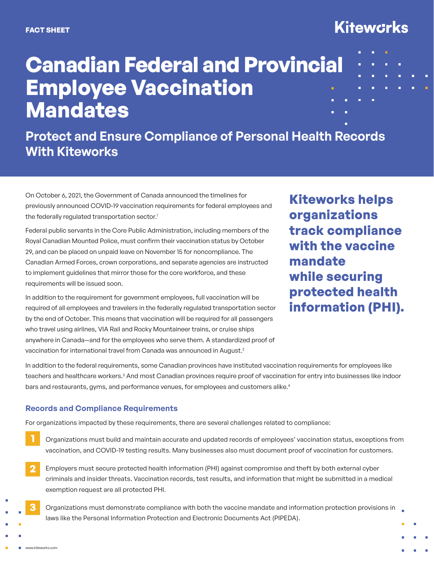## **Kitewcrks**

ö

# **Canadian Federal and Provincial Employee Vaccination Mandates**

### **Protect and Ensure Compliance of Personal Health Records With Kiteworks**

On October 6, 2021, the Government of Canada announced the timelines for previously announced COVID-19 vaccination requirements for federal employees and the federally regulated transportation sector.<sup>1</sup>

Federal public servants in the Core Public Administration, including members of the Royal Canadian Mounted Police, must confirm their vaccination status by October 29, and can be placed on unpaid leave on November 15 for noncompliance. The Canadian Armed Forces, crown corporations, and separate agencies are instructed to implement guidelines that mirror those for the core workforce, and these requirements will be issued soon.

In addition to the requirement for government employees, full vaccination will be required of all employees and travelers in the federally regulated transportation sector by the end of October. This means that vaccination will be required for all passengers who travel using airlines, VIA Rail and Rocky Mountaineer trains, or cruise ships anywhere in Canada—and for the employees who serve them. A standardized proof of vaccination for international travel from Canada was announced in August.<sup>2</sup>

**Kiteworks helps organizations track compliance with the vaccine mandate while securing protected health information (PHI).**

In addition to the federal requirements, some Canadian provinces have instituted vaccination requirements for employees like teachers and healthcare workers.<sup>3</sup> And most Canadian provinces require proof of vaccination for entry into businesses like indoor bars and restaurants, gyms, and performance venues, for employees and customers alike.<sup>4</sup>

#### **Records and Compliance Requirements**

For organizations impacted by these requirements, there are several challenges related to compliance:

- Organizations must build and maintain accurate and updated records of employees' vaccination status, exceptions from vaccination, and COVID-19 testing results. Many businesses also must document proof of vaccination for customers. **1**
- Employers must secure protected health information (PHI) against compromise and theft by both external cyber criminals and insider threats. Vaccination records, test results, and information that might be submitted in a medical exemption request are all protected PHI. **2**
	- Organizations must demonstrate compliance with both the vaccine mandate and information protection provisions in laws like the Personal Information Protection and Electronic Documents Act (PIPEDA).

**3**